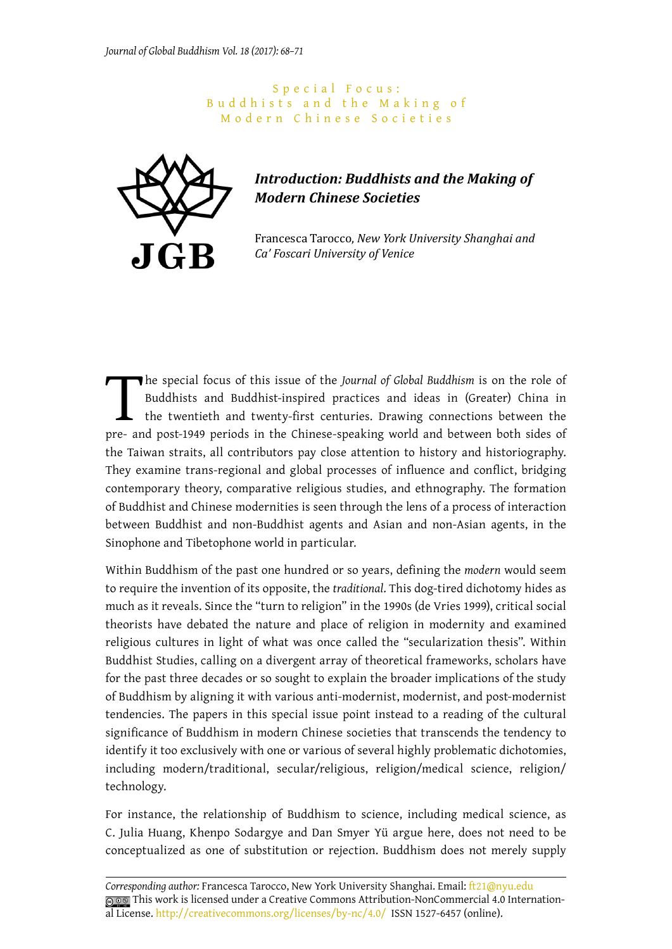## S p e c i a l F o c u s : Buddhists and the Making of Modern Chinese Societies



## *Introduction: Buddhists and the Making of Modern Chinese Societies*

Francesca Tarocco, *New York University Shanghai and Ca' Foscari University of Venice*

The special focus of this issue of the *Journal of Global Buddhism* is on the role of Buddhists and Buddhist-inspired practices and ideas in (Greater) China in the twentieth and twenty-first centuries. Drawing connections Buddhists and Buddhist-inspired practices and ideas in (Greater) China in the twentieth and twenty-first centuries. Drawing connections between the pre- and post-1949 periods in the Chinese-speaking world and between both sides of the Taiwan straits, all contributors pay close attention to history and historiography. They examine trans-regional and global processes of influence and conflict, bridging contemporary theory, comparative religious studies, and ethnography. The formation of Buddhist and Chinese modernities is seen through the lens of a process of interaction between Buddhist and non-Buddhist agents and Asian and non-Asian agents, in the Sinophone and Tibetophone world in particular.

Within Buddhism of the past one hundred or so years, defining the *modern* would seem to require the invention of its opposite, the *traditional*. This dog-tired dichotomy hides as much as it reveals. Since the "turn to religion" in the 1990s (de Vries 1999), critical social theorists have debated the nature and place of religion in modernity and examined religious cultures in light of what was once called the "secularization thesis". Within Buddhist Studies, calling on a divergent array of theoretical frameworks, scholars have for the past three decades or so sought to explain the broader implications of the study of Buddhism by aligning it with various anti-modernist, modernist, and post-modernist tendencies. The papers in this special issue point instead to a reading of the cultural significance of Buddhism in modern Chinese societies that transcends the tendency to identify it too exclusively with one or various of several highly problematic dichotomies, including modern/traditional, secular/religious, religion/medical science, religion/ technology.

For instance, the relationship of Buddhism to science, including medical science, as C. Julia Huang, Khenpo Sodargye and Dan Smyer Yü argue here, does not need to be conceptualized as one of substitution or rejection. Buddhism does not merely supply

*Corresponding author:* Francesca Tarocco, New York University Shanghai. Email: [ft21@nyu.edu](mailto:ft21@nyu.edu) This work is licensed under a Creative Commons Attribution-NonCommercial 4.0 International License. [http://creativecommons.org/licenses/by-](http://creativecommons.org/licenses/by)nc/4.0/ ISSN 1527-6457 (online).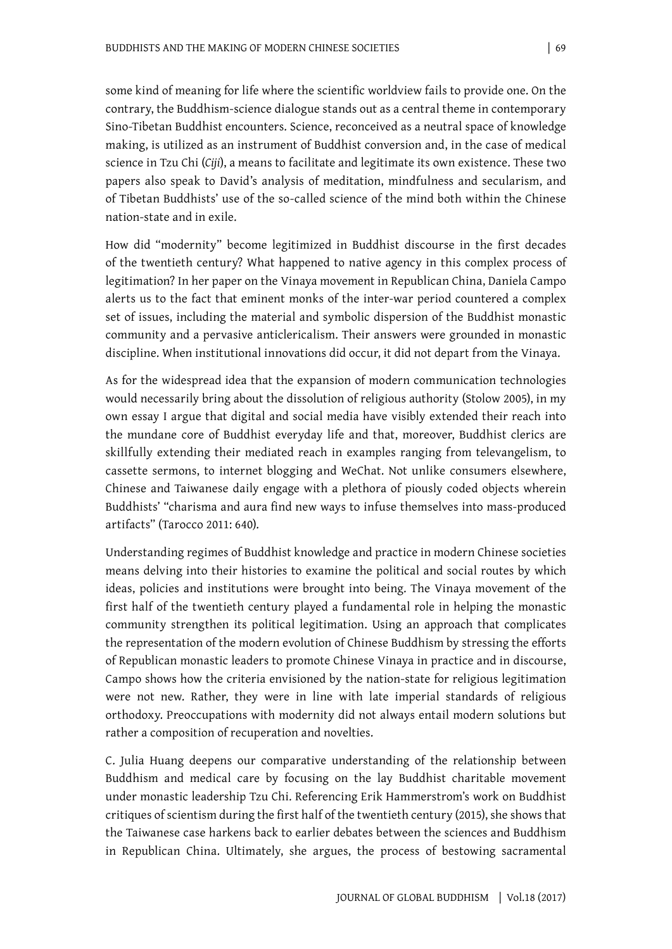some kind of meaning for life where the scientific worldview fails to provide one. On the contrary, the Buddhism-science dialogue stands out as a central theme in contemporary Sino-Tibetan Buddhist encounters. Science, reconceived as a neutral space of knowledge making, is utilized as an instrument of Buddhist conversion and, in the case of medical science in Tzu Chi (*Ciji*), a means to facilitate and legitimate its own existence. These two papers also speak to David's analysis of meditation, mindfulness and secularism, and of Tibetan Buddhists' use of the so-called science of the mind both within the Chinese nation-state and in exile.

How did "modernity" become legitimized in Buddhist discourse in the first decades of the twentieth century? What happened to native agency in this complex process of legitimation? In her paper on the Vinaya movement in Republican China, Daniela Campo alerts us to the fact that eminent monks of the inter-war period countered a complex set of issues, including the material and symbolic dispersion of the Buddhist monastic community and a pervasive anticlericalism. Their answers were grounded in monastic discipline. When institutional innovations did occur, it did not depart from the Vinaya.

As for the widespread idea that the expansion of modern communication technologies would necessarily bring about the dissolution of religious authority (Stolow 2005), in my own essay I argue that digital and social media have visibly extended their reach into the mundane core of Buddhist everyday life and that, moreover, Buddhist clerics are skillfully extending their mediated reach in examples ranging from televangelism, to cassette sermons, to internet blogging and WeChat. Not unlike consumers elsewhere, Chinese and Taiwanese daily engage with a plethora of piously coded objects wherein Buddhists' "charisma and aura find new ways to infuse themselves into mass-produced artifacts" (Tarocco 2011: 640).

Understanding regimes of Buddhist knowledge and practice in modern Chinese societies means delving into their histories to examine the political and social routes by which ideas, policies and institutions were brought into being. The Vinaya movement of the first half of the twentieth century played a fundamental role in helping the monastic community strengthen its political legitimation. Using an approach that complicates the representation of the modern evolution of Chinese Buddhism by stressing the efforts of Republican monastic leaders to promote Chinese Vinaya in practice and in discourse, Campo shows how the criteria envisioned by the nation-state for religious legitimation were not new. Rather, they were in line with late imperial standards of religious orthodoxy. Preoccupations with modernity did not always entail modern solutions but rather a composition of recuperation and novelties.

C. Julia Huang deepens our comparative understanding of the relationship between Buddhism and medical care by focusing on the lay Buddhist charitable movement under monastic leadership Tzu Chi. Referencing Erik Hammerstrom's work on Buddhist critiques of scientism during the first half of the twentieth century (2015), she shows that the Taiwanese case harkens back to earlier debates between the sciences and Buddhism in Republican China. Ultimately, she argues, the process of bestowing sacramental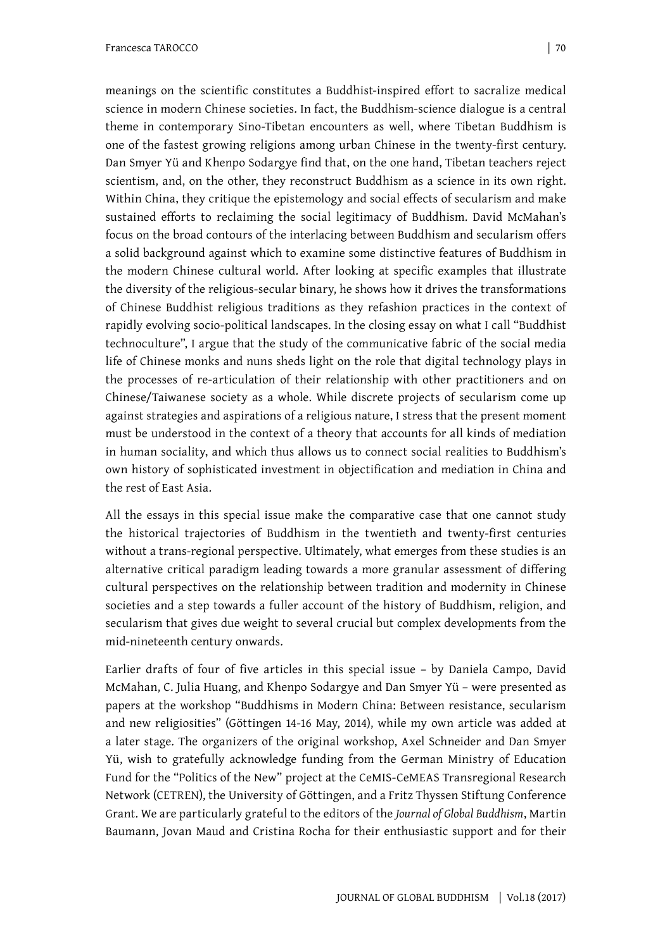meanings on the scientific constitutes a Buddhist-inspired effort to sacralize medical science in modern Chinese societies. In fact, the Buddhism-science dialogue is a central theme in contemporary Sino-Tibetan encounters as well, where Tibetan Buddhism is one of the fastest growing religions among urban Chinese in the twenty-first century. Dan Smyer Yü and Khenpo Sodargye find that, on the one hand, Tibetan teachers reject scientism, and, on the other, they reconstruct Buddhism as a science in its own right. Within China, they critique the epistemology and social effects of secularism and make sustained efforts to reclaiming the social legitimacy of Buddhism. David McMahan's focus on the broad contours of the interlacing between Buddhism and secularism offers a solid background against which to examine some distinctive features of Buddhism in the modern Chinese cultural world. After looking at specific examples that illustrate the diversity of the religious-secular binary, he shows how it drives the transformations of Chinese Buddhist religious traditions as they refashion practices in the context of rapidly evolving socio-political landscapes. In the closing essay on what I call "Buddhist technoculture", I argue that the study of the communicative fabric of the social media life of Chinese monks and nuns sheds light on the role that digital technology plays in the processes of re-articulation of their relationship with other practitioners and on Chinese/Taiwanese society as a whole. While discrete projects of secularism come up against strategies and aspirations of a religious nature, I stress that the present moment must be understood in the context of a theory that accounts for all kinds of mediation in human sociality, and which thus allows us to connect social realities to Buddhism's own history of sophisticated investment in objectification and mediation in China and the rest of East Asia.

All the essays in this special issue make the comparative case that one cannot study the historical trajectories of Buddhism in the twentieth and twenty-first centuries without a trans-regional perspective. Ultimately, what emerges from these studies is an alternative critical paradigm leading towards a more granular assessment of differing cultural perspectives on the relationship between tradition and modernity in Chinese societies and a step towards a fuller account of the history of Buddhism, religion, and secularism that gives due weight to several crucial but complex developments from the mid-nineteenth century onwards.

Earlier drafts of four of five articles in this special issue – by Daniela Campo, David McMahan, C. Julia Huang, and Khenpo Sodargye and Dan Smyer Yü – were presented as papers at the workshop "Buddhisms in Modern China: Between resistance, secularism and new religiosities" (Göttingen 14-16 May, 2014), while my own article was added at a later stage. The organizers of the original workshop, Axel Schneider and Dan Smyer Yü, wish to gratefully acknowledge funding from the German Ministry of Education Fund for the "Politics of the New" project at the CeMIS-CeMEAS Transregional Research Network (CETREN), the University of Göttingen, and a Fritz Thyssen Stiftung Conference Grant. We are particularly grateful to the editors of the *Journal of Global Buddhism*, Martin Baumann, Jovan Maud and Cristina Rocha for their enthusiastic support and for their